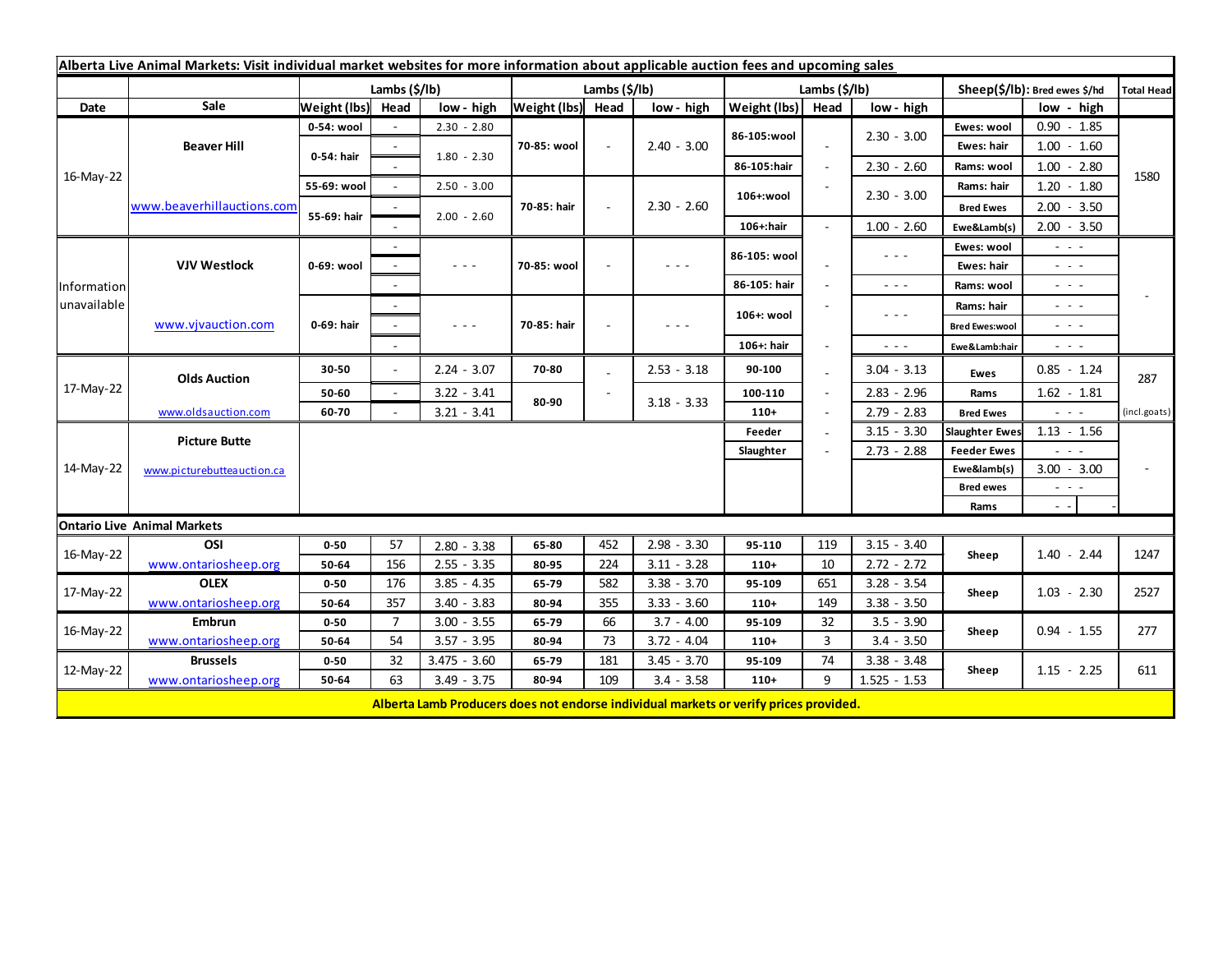| Alberta Live Animal Markets: Visit individual market websites for more information about applicable auction fees and upcoming sales |                            |               |                |                                                                                                                                                                                                                                                                                                                                                                                                                                                |                   |     |                                                                                                                        |               |      |                                                                                                                        |                               |                                                                                                                           |              |
|-------------------------------------------------------------------------------------------------------------------------------------|----------------------------|---------------|----------------|------------------------------------------------------------------------------------------------------------------------------------------------------------------------------------------------------------------------------------------------------------------------------------------------------------------------------------------------------------------------------------------------------------------------------------------------|-------------------|-----|------------------------------------------------------------------------------------------------------------------------|---------------|------|------------------------------------------------------------------------------------------------------------------------|-------------------------------|---------------------------------------------------------------------------------------------------------------------------|--------------|
|                                                                                                                                     |                            | Lambs (\$/lb) |                |                                                                                                                                                                                                                                                                                                                                                                                                                                                | Lambs (\$/lb)     |     |                                                                                                                        | Lambs (\$/lb) |      |                                                                                                                        | Sheep(\$/lb): Bred ewes \$/hd |                                                                                                                           | Total Head   |
| Date                                                                                                                                | Sale                       | Weight (lbs)  | Head           | low - high                                                                                                                                                                                                                                                                                                                                                                                                                                     | Weight (lbs) Head |     | low - high                                                                                                             | Weight (lbs)  | Head | low - high                                                                                                             |                               | low - high                                                                                                                |              |
| 16-May-22                                                                                                                           | <b>Beaver Hill</b>         | 0-54: wool    |                | $2.30 - 2.80$                                                                                                                                                                                                                                                                                                                                                                                                                                  | 70-85: wool       | ÷.  | $2.40 - 3.00$                                                                                                          | 86-105:wool   |      |                                                                                                                        | Ewes: wool                    | $0.90 - 1.85$                                                                                                             |              |
|                                                                                                                                     |                            | 0-54: hair    |                | $1.80 - 2.30$                                                                                                                                                                                                                                                                                                                                                                                                                                  |                   |     |                                                                                                                        |               |      | $2.30 - 3.00$                                                                                                          | Ewes: hair                    | $1.00 - 1.60$                                                                                                             |              |
|                                                                                                                                     |                            |               |                |                                                                                                                                                                                                                                                                                                                                                                                                                                                |                   |     |                                                                                                                        | 86-105:hair   |      | $2.30 - 2.60$                                                                                                          | Rams: wool                    | $1.00 - 2.80$                                                                                                             |              |
|                                                                                                                                     | www.beaverhillauctions.com | 55-69: wool   |                | $2.50 - 3.00$                                                                                                                                                                                                                                                                                                                                                                                                                                  |                   |     | $2.30 - 2.60$                                                                                                          | 106+:wool     |      | $2.30 - 3.00$                                                                                                          | Rams: hair                    | $1.20 - 1.80$                                                                                                             | 1580         |
|                                                                                                                                     |                            | 55-69: hair   |                |                                                                                                                                                                                                                                                                                                                                                                                                                                                | 70-85: hair       |     |                                                                                                                        |               |      |                                                                                                                        | <b>Bred Ewes</b>              | $2.00 - 3.50$                                                                                                             |              |
|                                                                                                                                     |                            |               |                | $2.00 - 2.60$                                                                                                                                                                                                                                                                                                                                                                                                                                  |                   |     |                                                                                                                        | 106+:hair     |      | $1.00 - 2.60$                                                                                                          | Ewe&Lamb(s)                   | $2.00 - 3.50$                                                                                                             |              |
| Information<br>unavailable                                                                                                          | <b>VJV Westlock</b>        | 0-69: wool    |                |                                                                                                                                                                                                                                                                                                                                                                                                                                                | 70-85: wool       |     | $  -$                                                                                                                  | 86-105: wool  |      | $\frac{1}{2} \left( \frac{1}{2} \right) \frac{1}{2} \left( \frac{1}{2} \right) \frac{1}{2} \left( \frac{1}{2} \right)$ | Ewes: wool                    | $\sim$ 10 $\sim$                                                                                                          |              |
|                                                                                                                                     |                            |               |                | $\frac{1}{2} \left( \frac{1}{2} \right) \left( \frac{1}{2} \right) \left( \frac{1}{2} \right) \left( \frac{1}{2} \right)$                                                                                                                                                                                                                                                                                                                      |                   |     |                                                                                                                        |               |      |                                                                                                                        | Ewes: hair                    | $\frac{1}{2} \left( \frac{1}{2} \right) \left( \frac{1}{2} \right) \left( \frac{1}{2} \right)$                            |              |
|                                                                                                                                     |                            |               |                |                                                                                                                                                                                                                                                                                                                                                                                                                                                |                   |     |                                                                                                                        | 86-105: hair  |      | $\sim$ $ -$                                                                                                            | Rams: wool                    | $\sim$ 100 $\pm$                                                                                                          |              |
|                                                                                                                                     | www.vjvauction.com         | 0-69: hair    |                |                                                                                                                                                                                                                                                                                                                                                                                                                                                | 70-85: hair       |     | $\frac{1}{2} \left( \frac{1}{2} \right) \frac{1}{2} \left( \frac{1}{2} \right) \frac{1}{2} \left( \frac{1}{2} \right)$ | 106+: wool    |      | $\frac{1}{2} \left( \frac{1}{2} \right) \frac{1}{2} \left( \frac{1}{2} \right) \frac{1}{2} \left( \frac{1}{2} \right)$ | Rams: hair                    | $ -$                                                                                                                      |              |
|                                                                                                                                     |                            |               |                | $\frac{1}{2} \left( \frac{1}{2} \right) + \frac{1}{2} \left( \frac{1}{2} \right) + \frac{1}{2} \left( \frac{1}{2} \right) + \frac{1}{2} \left( \frac{1}{2} \right) + \frac{1}{2} \left( \frac{1}{2} \right) + \frac{1}{2} \left( \frac{1}{2} \right) + \frac{1}{2} \left( \frac{1}{2} \right) + \frac{1}{2} \left( \frac{1}{2} \right) + \frac{1}{2} \left( \frac{1}{2} \right) + \frac{1}{2} \left( \frac{1}{2} \right) + \frac{1}{2} \left($ |                   |     |                                                                                                                        |               |      |                                                                                                                        | <b>Bred Ewes:wool</b>         | $\frac{1}{2} \left( \frac{1}{2} \right) = \frac{1}{2} \left( \frac{1}{2} \right)$                                         |              |
|                                                                                                                                     |                            |               |                |                                                                                                                                                                                                                                                                                                                                                                                                                                                |                   |     |                                                                                                                        | 106+: hair    |      | $\sim$ $\sim$ $\sim$                                                                                                   | Ewe&Lamb:hair                 | $\frac{1}{2} \left( \frac{1}{2} \right) \left( \frac{1}{2} \right) \left( \frac{1}{2} \right) \left( \frac{1}{2} \right)$ |              |
| 17-May-22                                                                                                                           | <b>Olds Auction</b>        | 30-50         | $\sim$         | $2.24 - 3.07$                                                                                                                                                                                                                                                                                                                                                                                                                                  | 70-80             |     | $2.53 - 3.18$                                                                                                          | 90-100        |      | $3.04 - 3.13$                                                                                                          | Ewes                          | $0.85 - 1.24$                                                                                                             | 287          |
|                                                                                                                                     |                            | 50-60         | $\blacksquare$ | $3.22 - 3.41$                                                                                                                                                                                                                                                                                                                                                                                                                                  |                   |     |                                                                                                                        | 100-110       |      | $2.83 - 2.96$                                                                                                          | Rams                          | $1.62 - 1.81$                                                                                                             |              |
|                                                                                                                                     | www.oldsauction.com        | 60-70         |                | $3.21 - 3.41$                                                                                                                                                                                                                                                                                                                                                                                                                                  | 80-90             |     | $3.18 - 3.33$                                                                                                          | $110+$        |      | $2.79 - 2.83$                                                                                                          | <b>Bred Ewes</b>              | $\sim$ 10 $\sim$                                                                                                          | (incl.goats) |
| 14-May-22                                                                                                                           | <b>Picture Butte</b>       |               |                |                                                                                                                                                                                                                                                                                                                                                                                                                                                |                   |     |                                                                                                                        | Feeder        |      | $3.15 - 3.30$                                                                                                          | <b>Slaughter Ewes</b>         | $1.13 - 1.56$                                                                                                             |              |
|                                                                                                                                     |                            | Slaughter     |                |                                                                                                                                                                                                                                                                                                                                                                                                                                                |                   |     |                                                                                                                        |               |      | $2.73 - 2.88$                                                                                                          | <b>Feeder Ewes</b>            | $\sim$ 10 $\sim$                                                                                                          |              |
|                                                                                                                                     | www.picturebutteauction.ca |               |                |                                                                                                                                                                                                                                                                                                                                                                                                                                                |                   |     |                                                                                                                        |               |      |                                                                                                                        | Ewe&lamb(s)                   | $3.00 - 3.00$                                                                                                             |              |
|                                                                                                                                     |                            |               |                |                                                                                                                                                                                                                                                                                                                                                                                                                                                |                   |     |                                                                                                                        |               |      |                                                                                                                        | <b>Bred ewes</b>              | $ -$                                                                                                                      |              |
|                                                                                                                                     |                            |               |                |                                                                                                                                                                                                                                                                                                                                                                                                                                                |                   |     |                                                                                                                        |               |      |                                                                                                                        | Rams                          | $\sim$ $\sim$                                                                                                             |              |
| <b>Ontario Live Animal Markets</b>                                                                                                  |                            |               |                |                                                                                                                                                                                                                                                                                                                                                                                                                                                |                   |     |                                                                                                                        |               |      |                                                                                                                        |                               |                                                                                                                           |              |
| 16-May-22                                                                                                                           | OSI                        | $0 - 50$      | 57             | $2.80 - 3.38$                                                                                                                                                                                                                                                                                                                                                                                                                                  | 65-80             | 452 | $2.98 - 3.30$                                                                                                          | 95-110        | 119  | $3.15 - 3.40$                                                                                                          | Sheep                         | $1.40 - 2.44$                                                                                                             | 1247         |
|                                                                                                                                     | www.ontariosheep.org       | 50-64         | 156            | $2.55 - 3.35$                                                                                                                                                                                                                                                                                                                                                                                                                                  | 80-95             | 224 | $3.11 - 3.28$                                                                                                          | $110+$        | 10   | $2.72 - 2.72$                                                                                                          |                               |                                                                                                                           |              |
| 17-May-22                                                                                                                           | <b>OLEX</b>                | $0 - 50$      | 176            | $3.85 - 4.35$                                                                                                                                                                                                                                                                                                                                                                                                                                  | 65-79             | 582 | $3.38 - 3.70$                                                                                                          | 95-109        | 651  | $3.28 - 3.54$                                                                                                          | Sheep                         | $1.03 - 2.30$                                                                                                             | 2527         |
|                                                                                                                                     | www.ontariosheep.org       | 50-64         | 357            | $3.40 - 3.83$                                                                                                                                                                                                                                                                                                                                                                                                                                  | 80-94             | 355 | $3.33 - 3.60$                                                                                                          | $110+$        | 149  | $3.38 - 3.50$                                                                                                          |                               |                                                                                                                           |              |
| 16-May-22                                                                                                                           | <b>Embrun</b>              | $0 - 50$      | $\overline{7}$ | $3.00 - 3.55$                                                                                                                                                                                                                                                                                                                                                                                                                                  | 65-79             | 66  | $3.7 - 4.00$                                                                                                           | 95-109        | 32   | $3.5 - 3.90$                                                                                                           | Sheep                         | $0.94 - 1.55$                                                                                                             | 277          |
|                                                                                                                                     | www.ontariosheep.org       | 50-64         | 54             | $3.57 - 3.95$                                                                                                                                                                                                                                                                                                                                                                                                                                  | 80-94             | 73  | $3.72 - 4.04$                                                                                                          | $110+$        | 3    | $3.4 - 3.50$                                                                                                           |                               |                                                                                                                           |              |
| 12-May-22                                                                                                                           | <b>Brussels</b>            | $0 - 50$      | 32             | $3.475 - 3.60$                                                                                                                                                                                                                                                                                                                                                                                                                                 | 65-79             | 181 | $3.45 - 3.70$                                                                                                          | 95-109        | 74   | $3.38 - 3.48$                                                                                                          | Sheep                         | $1.15 - 2.25$                                                                                                             | 611          |
|                                                                                                                                     | www.ontariosheep.org       | 50-64         | 63             | $3.49 - 3.75$                                                                                                                                                                                                                                                                                                                                                                                                                                  | 80-94             | 109 | $3.4 - 3.58$                                                                                                           | $110+$        | 9    | $1.525 - 1.53$                                                                                                         |                               |                                                                                                                           |              |
|                                                                                                                                     |                            |               |                | Alberta Lamb Producers does not endorse individual markets or verify prices provided.                                                                                                                                                                                                                                                                                                                                                          |                   |     |                                                                                                                        |               |      |                                                                                                                        |                               |                                                                                                                           |              |